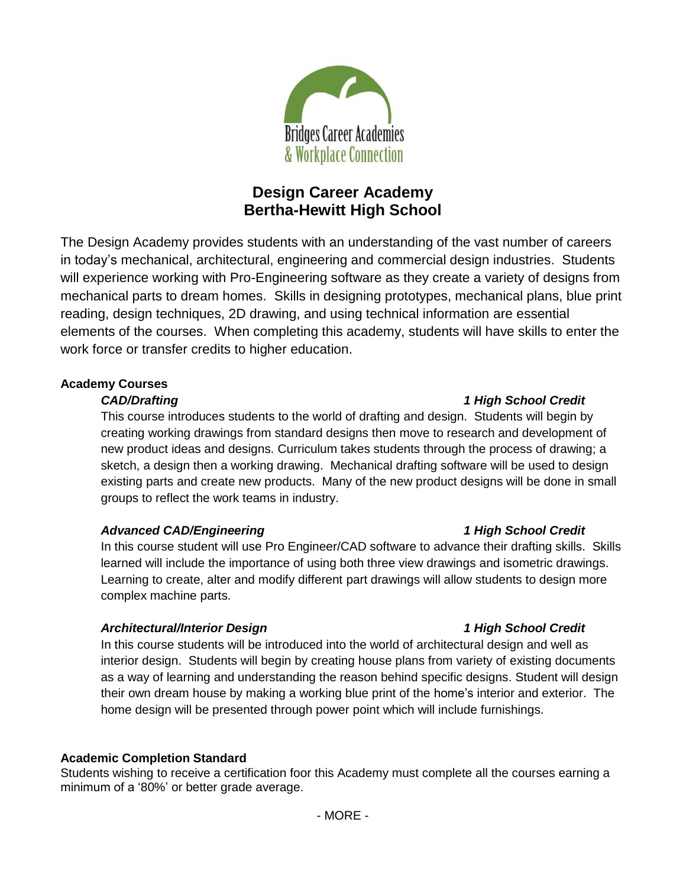

# **Design Career Academy Bertha-Hewitt High School**

The Design Academy provides students with an understanding of the vast number of careers in today's mechanical, architectural, engineering and commercial design industries. Students will experience working with Pro-Engineering software as they create a variety of designs from mechanical parts to dream homes. Skills in designing prototypes, mechanical plans, blue print reading, design techniques, 2D drawing, and using technical information are essential elements of the courses. When completing this academy, students will have skills to enter the work force or transfer credits to higher education.

# **Academy Courses**

This course introduces students to the world of drafting and design. Students will begin by creating working drawings from standard designs then move to research and development of new product ideas and designs. Curriculum takes students through the process of drawing; a sketch, a design then a working drawing. Mechanical drafting software will be used to design existing parts and create new products. Many of the new product designs will be done in small groups to reflect the work teams in industry.

# *Advanced CAD/Engineering 1 High School Credit*

In this course student will use Pro Engineer/CAD software to advance their drafting skills. Skills learned will include the importance of using both three view drawings and isometric drawings. Learning to create, alter and modify different part drawings will allow students to design more complex machine parts.

# *Architectural/Interior Design 1 High School Credit*

In this course students will be introduced into the world of architectural design and well as interior design. Students will begin by creating house plans from variety of existing documents as a way of learning and understanding the reason behind specific designs. Student will design their own dream house by making a working blue print of the home's interior and exterior. The home design will be presented through power point which will include furnishings.

### **Academic Completion Standard**

Students wishing to receive a certification foor this Academy must complete all the courses earning a minimum of a '80%' or better grade average.

# *CAD/Drafting 1 High School Credit*